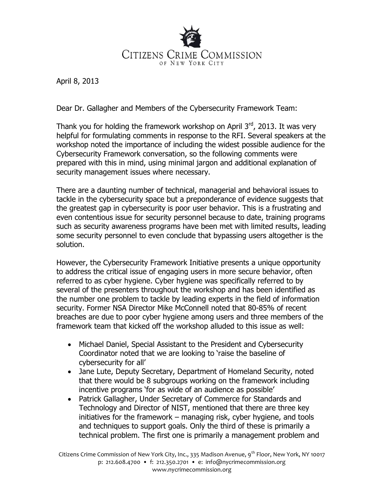

April 8, 2013

Dear Dr. Gallagher and Members of the Cybersecurity Framework Team:

Thank you for holding the framework workshop on April  $3^{rd}$ , 2013. It was very helpful for formulating comments in response to the RFI. Several speakers at the workshop noted the importance of including the widest possible audience for the Cybersecurity Framework conversation, so the following comments were prepared with this in mind, using minimal jargon and additional explanation of security management issues where necessary.

There are a daunting number of technical, managerial and behavioral issues to tackle in the cybersecurity space but a preponderance of evidence suggests that the greatest gap in cybersecurity is poor user behavior. This is a frustrating and even contentious issue for security personnel because to date, training programs such as security awareness programs have been met with limited results, leading some security personnel to even conclude that bypassing users altogether is the solution.

However, the Cybersecurity Framework Initiative presents a unique opportunity to address the critical issue of engaging users in more secure behavior, often referred to as cyber hygiene. Cyber hygiene was specifically referred to by several of the presenters throughout the workshop and has been identified as the number one problem to tackle by leading experts in the field of information security. Former NSA Director Mike McConnell noted that 80-85% of recent breaches are due to poor cyber hygiene among users and three members of the framework team that kicked off the workshop alluded to this issue as well:

- Michael Daniel, Special Assistant to the President and Cybersecurity Coordinator noted that we are looking to 'raise the baseline of cybersecurity for all'
- Jane Lute, Deputy Secretary, Department of Homeland Security, noted that there would be 8 subgroups working on the framework including incentive programs 'for as wide of an audience as possible'
- Patrick Gallagher, Under Secretary of Commerce for Standards and Technology and Director of NIST, mentioned that there are three key initiatives for the framework – managing risk, cyber hygiene, and tools and techniques to support goals. Only the third of these is primarily a technical problem. The first one is primarily a management problem and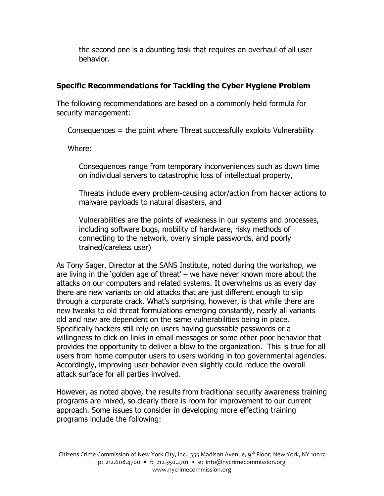the second one is a daunting task that requires an overhaul of all user behavior.

## **Specific Recommendations for Tackling the Cyber Hygiene Problem**

The following recommendations are based on a commonly held formula for security management:

 $Consequences$  = the point where Threat successfully exploits Vulnerability

Where:

Consequences range from temporary inconveniences such as down time on individual servers to catastrophic loss of intellectual property,

Threats include every problem-causing actor/action from hacker actions to malware payloads to natural disasters, and

Vulnerabilities are the points of weakness in our systems and processes, including software bugs, mobility of hardware, risky methods of connecting to the network, overly simple passwords, and poorly trained/careless user)

As Tony Sager, Director at the SANS Institute, noted during the workshop, we are living in the 'golden age of threat' – we have never known more about the attacks on our computers and related systems. It overwhelms us as every day there are new variants on old attacks that are just different enough to slip through a corporate crack. What's surprising, however, is that while there are new tweaks to old threat formulations emerging constantly, nearly all variants old and new are dependent on the same vulnerabilities being in place. Specifically hackers still rely on users having guessable passwords or a willingness to click on links in email messages or some other poor behavior that provides the opportunity to deliver a blow to the organization. This is true for all users from home computer users to users working in top governmental agencies. Accordingly, improving user behavior even slightly could reduce the overall attack surface for all parties involved.

However, as noted above, the results from traditional security awareness training programs are mixed, so clearly there is room for improvement to our current approach. Some issues to consider in developing more effecting training programs include the following: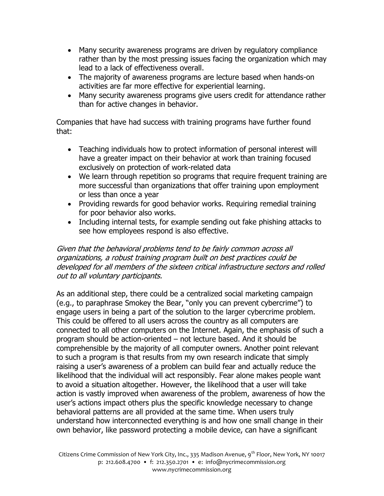- Many security awareness programs are driven by regulatory compliance rather than by the most pressing issues facing the organization which may lead to a lack of effectiveness overall.
- The majority of awareness programs are lecture based when hands-on activities are far more effective for experiential learning.
- Many security awareness programs give users credit for attendance rather than for active changes in behavior.

Companies that have had success with training programs have further found that:

- Teaching individuals how to protect information of personal interest will have a greater impact on their behavior at work than training focused exclusively on protection of work-related data
- We learn through repetition so programs that require frequent training are more successful than organizations that offer training upon employment or less than once a year
- Providing rewards for good behavior works. Requiring remedial training for poor behavior also works.
- Including internal tests, for example sending out fake phishing attacks to see how employees respond is also effective.

## Given that the behavioral problems tend to be fairly common across all organizations, a robust training program built on best practices could be developed for all members of the sixteen critical infrastructure sectors and rolled out to all voluntary participants.

As an additional step, there could be a centralized social marketing campaign (e.g., to paraphrase Smokey the Bear, "only you can prevent cybercrime") to engage users in being a part of the solution to the larger cybercrime problem. This could be offered to all users across the country as all computers are connected to all other computers on the Internet. Again, the emphasis of such a program should be action-oriented – not lecture based. And it should be comprehensible by the majority of all computer owners. Another point relevant to such a program is that results from my own research indicate that simply raising a user's awareness of a problem can build fear and actually reduce the likelihood that the individual will act responsibly. Fear alone makes people want to avoid a situation altogether. However, the likelihood that a user will take action is vastly improved when awareness of the problem, awareness of how the user's actions impact others plus the specific knowledge necessary to change behavioral patterns are all provided at the same time. When users truly understand how interconnected everything is and how one small change in their own behavior, like password protecting a mobile device, can have a significant